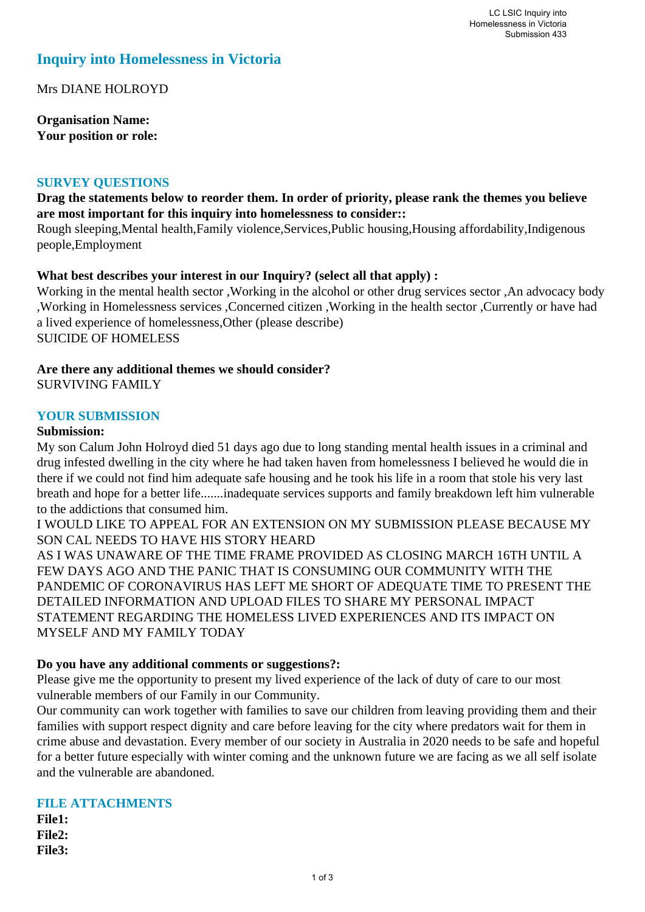# **Inquiry into Homelessness in Victoria**

Mrs DIANE HOLROYD

**Organisation Name: Your position or role:** 

### **SURVEY QUESTIONS**

## **Drag the statements below to reorder them. In order of priority, please rank the themes you believe are most important for this inquiry into homelessness to consider::**

Rough sleeping,Mental health,Family violence,Services,Public housing,Housing affordability,Indigenous people,Employment

## **What best describes your interest in our Inquiry? (select all that apply) :**

Working in the mental health sector ,Working in the alcohol or other drug services sector ,An advocacy body ,Working in Homelessness services ,Concerned citizen ,Working in the health sector ,Currently or have had a lived experience of homelessness,Other (please describe) SUICIDE OF HOMELESS

#### **Are there any additional themes we should consider?** SURVIVING FAMILY

#### **YOUR SUBMISSION**

#### **Submission:**

My son Calum John Holroyd died 51 days ago due to long standing mental health issues in a criminal and drug infested dwelling in the city where he had taken haven from homelessness I believed he would die in there if we could not find him adequate safe housing and he took his life in a room that stole his very last breath and hope for a better life.......inadequate services supports and family breakdown left him vulnerable to the addictions that consumed him.

I WOULD LIKE TO APPEAL FOR AN EXTENSION ON MY SUBMISSION PLEASE BECAUSE MY SON CAL NEEDS TO HAVE HIS STORY HEARD

AS I WAS UNAWARE OF THE TIME FRAME PROVIDED AS CLOSING MARCH 16TH UNTIL A FEW DAYS AGO AND THE PANIC THAT IS CONSUMING OUR COMMUNITY WITH THE PANDEMIC OF CORONAVIRUS HAS LEFT ME SHORT OF ADEQUATE TIME TO PRESENT THE DETAILED INFORMATION AND UPLOAD FILES TO SHARE MY PERSONAL IMPACT STATEMENT REGARDING THE HOMELESS LIVED EXPERIENCES AND ITS IMPACT ON MYSELF AND MY FAMILY TODAY

### **Do you have any additional comments or suggestions?:**

Please give me the opportunity to present my lived experience of the lack of duty of care to our most vulnerable members of our Family in our Community.

Our community can work together with families to save our children from leaving providing them and their families with support respect dignity and care before leaving for the city where predators wait for them in crime abuse and devastation. Every member of our society in Australia in 2020 needs to be safe and hopeful for a better future especially with winter coming and the unknown future we are facing as we all self isolate and the vulnerable are abandoned.

# **FILE ATTACHMENTS**

**File1: File2: File3:**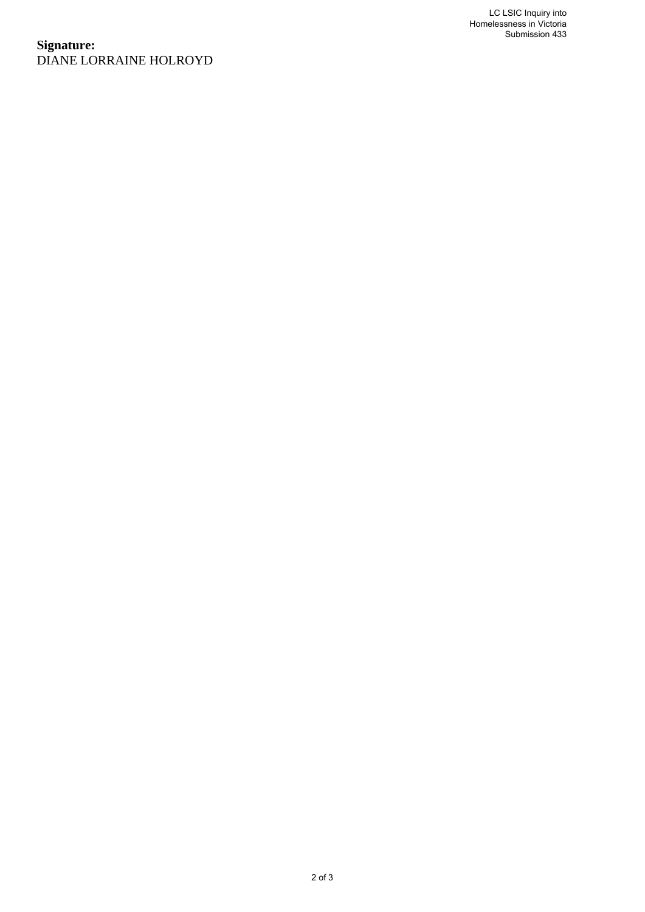## **Signature:** DIANE LORRAINE HOLROYD